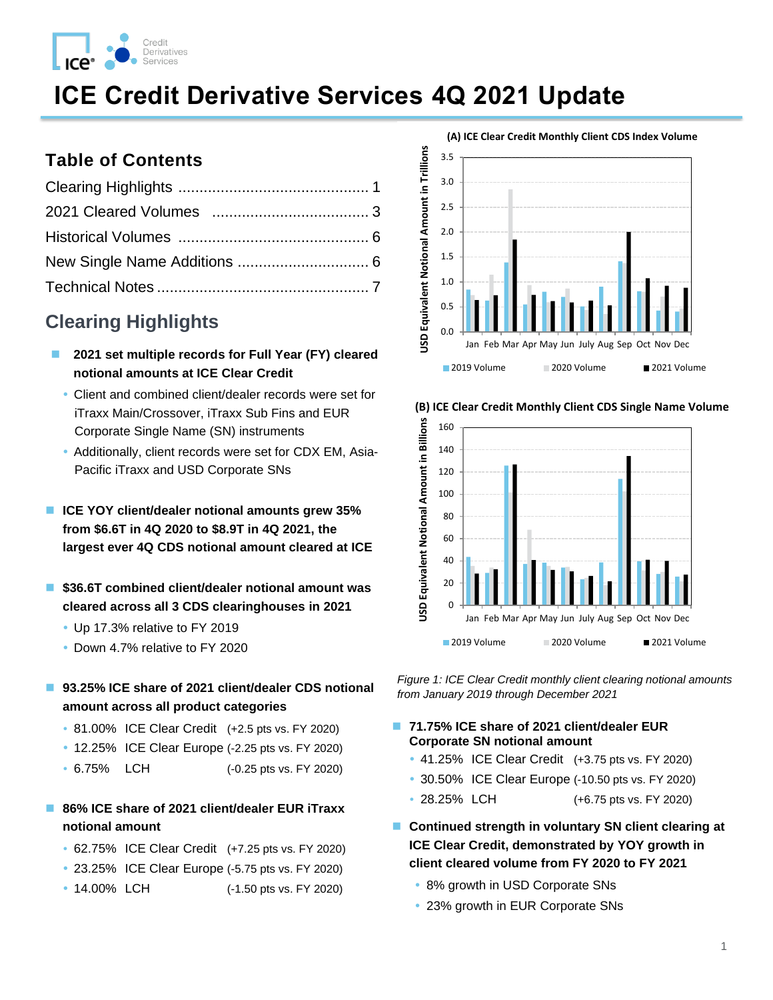

# **ICE Credit Derivative Services 4Q 2021 Update**

### **Table of Contents**

# **Clearing Highlights**

- ◼ **2021 set multiple records for Full Year (FY) cleared notional amounts at ICE Clear Credit**
- Client and combined client/dealer records were set for iTraxx Main/Crossover, iTraxx Sub Fins and EUR Corporate Single Name (SN) instruments
- Additionally, client records were set for CDX EM, Asia-Pacific iTraxx and USD Corporate SNs
- **ICE YOY client/dealer notional amounts grew 35% from \$6.6T in 4Q 2020 to \$8.9T in 4Q 2021, the largest ever 4Q CDS notional amount cleared at ICE**
- ◼ **\$36.6T combined client/dealer notional amount was cleared across all 3 CDS clearinghouses in 2021**
	- Up 17.3% relative to FY 2019
	- Down 4.7% relative to FY 2020
- 93.25% ICE share of 2021 client/dealer CDS notional **amount across all product categories**
	- 81.00% ICE Clear Credit (+2.5 pts vs. FY 2020)
	- 12.25% ICE Clear Europe (-2.25 pts vs. FY 2020)
	- 6.75% LCH (-0.25 pts vs. FY 2020)

#### ■ 86% ICE share of 2021 client/dealer EUR iTraxx **notional amount**

- 62.75% ICE Clear Credit (+7.25 pts vs. FY 2020)
- 23.25% ICE Clear Europe (-5.75 pts vs. FY 2020)
- 14.00% LCH (-1.50 pts vs. FY 2020)







<span id="page-0-0"></span>*Figure 1: ICE Clear Credit monthly client clearing notional amounts from January 2019 through December 2021* 

#### ■ 71.75% ICE share of 2021 client/dealer EUR **Corporate SN notional amount**

- 41.25% ICE Clear Credit (+3.75 pts vs. FY 2020)
- 30.50% ICE Clear Europe (-10.50 pts vs. FY 2020)
- 28.25% LCH (+6.75 pts vs. FY 2020)
- Continued strength in voluntary SN client clearing at **ICE Clear Credit, demonstrated by YOY growth in client cleared volume from FY 2020 to FY 2021**
	- 8% growth in USD Corporate SNs
	- 23% growth in EUR Corporate SNs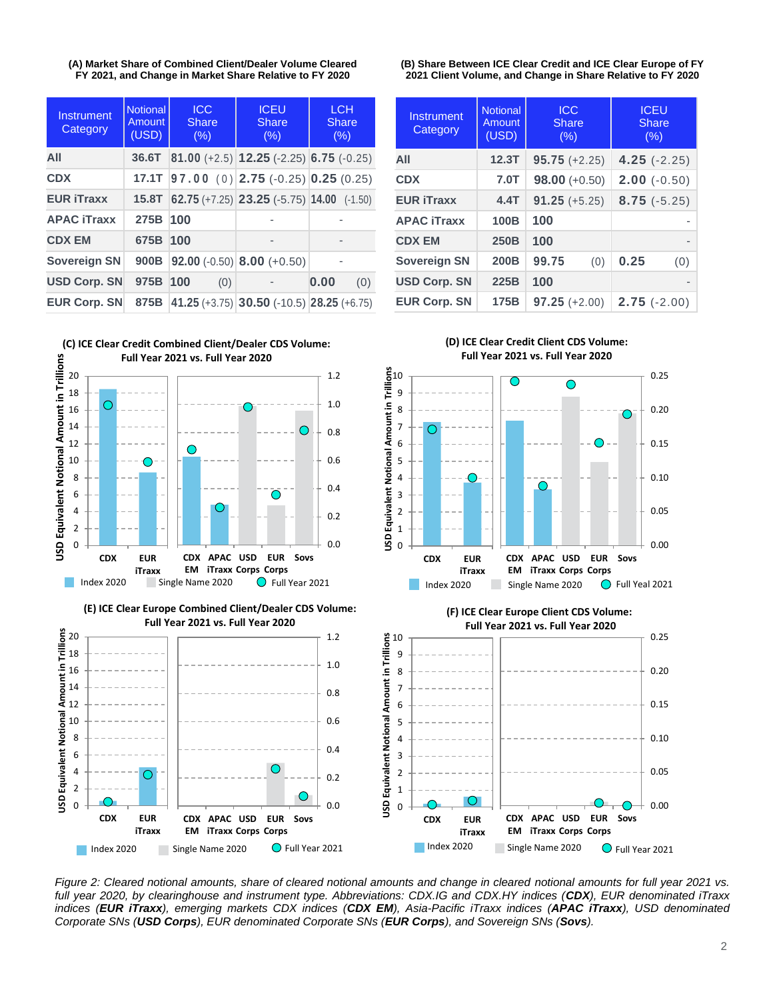**(A) Market Share of Combined Client/Dealer Volume Cleared FY 2021, and Change in Market Share Relative to FY 2020** 

| Instrument<br>Category | <b>Notional</b><br>Amount<br>(USD) | <b>ICC</b><br><b>Share</b><br>(% ) | <b>ICEU</b><br>Share<br>(% )                    | <b>LCH</b><br><b>Share</b><br>(% ) |  |
|------------------------|------------------------------------|------------------------------------|-------------------------------------------------|------------------------------------|--|
| All                    | 36.6T                              |                                    | 81.00 $(+2.5)$ 12.25 $(-2.25)$ 6.75 $(-0.25)$   |                                    |  |
| <b>CDX</b>             | 17.1T                              |                                    | $ 97.00(0) 2.75(-0.25) 0.25(0.25) $             |                                    |  |
| <b>EUR iTraxx</b>      | 15.8T                              |                                    | 62.75 (+7.25) 23.25 (-5.75) 14.00 (-1.50)       |                                    |  |
| <b>APAC iTraxx</b>     | 275B                               | 100                                |                                                 |                                    |  |
| <b>CDX EM</b>          | 675B                               | 100                                | $\overline{\phantom{0}}$                        |                                    |  |
| <b>Sovereign SN</b>    | 900B                               |                                    | <b>92.00</b> (-0.50) <b>8.00</b> (+0.50)        |                                    |  |
| <b>USD Corp. SN</b>    | 975B                               | 100<br>(0)                         |                                                 | 0.00<br>(0)                        |  |
| <b>EUR Corp. SN</b>    | 875B                               |                                    | 41.25 $(+3.75)$ 30.50 $(-10.5)$ 28.25 $(+6.75)$ |                                    |  |



**(E) ICE Clear Europe Combined Client/Dealer CDS Volume: Full Year 2021 vs. Full Year 2020**



**(B) Share Between ICE Clear Credit and ICE Clear Europe of FY 2021 Client Volume, and Change in Share Relative to FY 2020**

| Instrument<br>Category | <b>Notional</b><br>Amount<br>(USD) | <b>ICC</b><br><b>Share</b><br>(% ) | <b>ICEU</b><br><b>Share</b><br>(% ) |  |
|------------------------|------------------------------------|------------------------------------|-------------------------------------|--|
| AII                    | 12.3T                              | $95.75 (+2.25)$                    | $4.25(-2.25)$                       |  |
| <b>CDX</b>             | 7.0T                               | $98.00 (+0.50)$                    | $2.00 (-0.50)$                      |  |
| <b>EUR iTraxx</b>      | 4.4T                               | $91.25 (+5.25)$                    | $8.75(-5.25)$                       |  |
| <b>APAC iTraxx</b>     | 100B                               | 100                                |                                     |  |
| <b>CDX EM</b>          | 250B                               | 100                                | $\overline{\phantom{0}}$            |  |
| <b>Sovereign SN</b>    | 200B                               | 99.75<br>(0)                       | 0.25<br>(0)                         |  |
| <b>USD Corp. SN</b>    | 225B                               | 100                                | $\overline{\phantom{0}}$            |  |
| <b>EUR Corp. SN</b>    | 175B                               | $97.25 (+2.00)$                    | $2.75$ (-2.00)                      |  |



**(F) ICE Clear Europe Client CDS Volume: Full Year 2021 vs. Full Year 2020**

> **CDX APAC USD EM iTraxx Corps Corps**

**EUR**

**Sovs**

**Full Year 2021 vs. Full Year 2020**

**(D) ICE Clear Credit Client CDS Volume:**

<span id="page-1-0"></span>*Figure 2: Cleared notional amounts, share of cleared notional amounts and change in cleared notional amounts for full year 2021 vs. full year 2020, by clearinghouse and instrument type. Abbreviations: CDX.IG and CDX.HY indices (CDX), EUR denominated iTraxx indices (EUR iTraxx), emerging markets CDX indices (CDX EM), Asia-Pacific iTraxx indices (APAC iTraxx), USD denominated Corporate SNs (USD Corps), EUR denominated Corporate SNs (EUR Corps), and Sovereign SNs (Sovs).*  Index 2020 Single Name 2020 G Full Year 2021

**USD Equivalent Notional Amount in Trillions**

**CDX EUR iTraxx**



0.00

0.05

0.10

0.15

0.20

0.25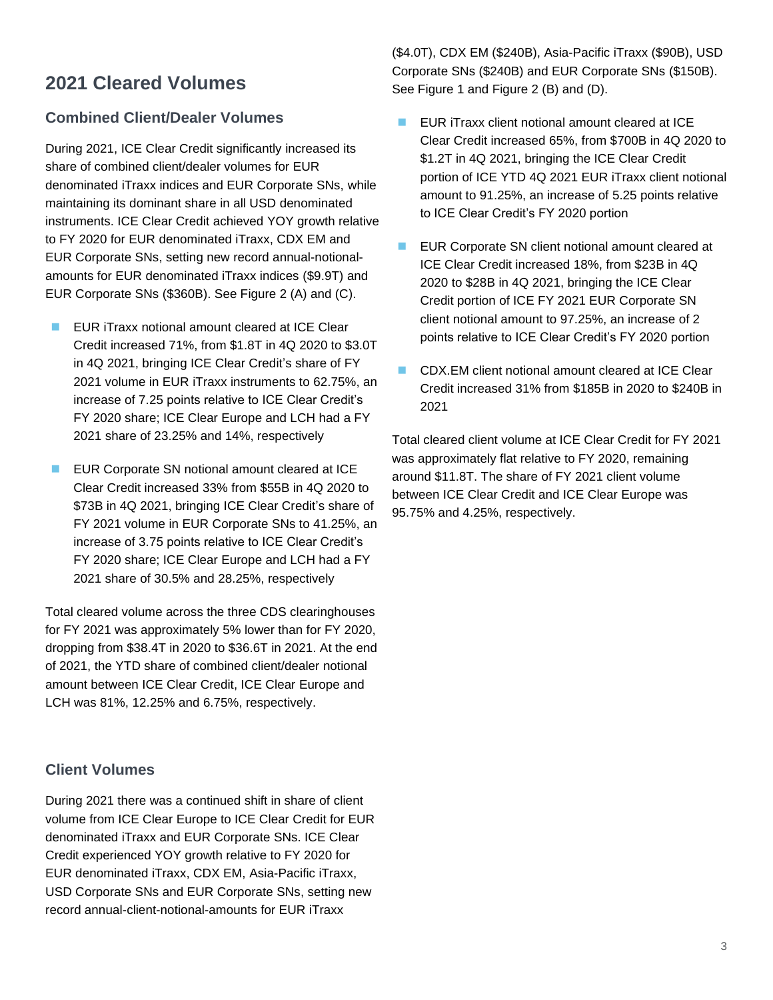# **2021 Cleared Volumes**

#### **Combined Client/Dealer Volumes**

During 2021, ICE Clear Credit significantly increased its share of combined client/dealer volumes for EUR denominated iTraxx indices and EUR Corporate SNs, while maintaining its dominant share in all USD denominated instruments. ICE Clear Credit achieved YOY growth relative to FY 2020 for EUR denominated iTraxx, CDX EM and EUR Corporate SNs, setting new record annual-notionalamounts for EUR denominated iTraxx indices (\$9.9T) and EUR Corporate SNs (\$360B). See [Figure 2](#page-1-0) (A) and (C).

- EUR iTraxx notional amount cleared at ICE Clear Credit increased 71%, from \$1.8T in 4Q 2020 to \$3.0T in 4Q 2021, bringing ICE Clear Credit's share of FY 2021 volume in EUR iTraxx instruments to 62.75%, an increase of 7.25 points relative to ICE Clear Credit's FY 2020 share; ICE Clear Europe and LCH had a FY 2021 share of 23.25% and 14%, respectively
- EUR Corporate SN notional amount cleared at ICE Clear Credit increased 33% from \$55B in 4Q 2020 to \$73B in 4Q 2021, bringing ICE Clear Credit's share of FY 2021 volume in EUR Corporate SNs to 41.25%, an increase of 3.75 points relative to ICE Clear Credit's FY 2020 share; ICE Clear Europe and LCH had a FY 2021 share of 30.5% and 28.25%, respectively

Total cleared volume across the three CDS clearinghouses for FY 2021 was approximately 5% lower than for FY 2020, dropping from \$38.4T in 2020 to \$36.6T in 2021. At the end of 2021, the YTD share of combined client/dealer notional amount between ICE Clear Credit, ICE Clear Europe and LCH was 81%, 12.25% and 6.75%, respectively.

#### **Client Volumes**

During 2021 there was a continued shift in share of client volume from ICE Clear Europe to ICE Clear Credit for EUR denominated iTraxx and EUR Corporate SNs. ICE Clear Credit experienced YOY growth relative to FY 2020 for EUR denominated iTraxx, CDX EM, Asia-Pacific iTraxx, USD Corporate SNs and EUR Corporate SNs, setting new record annual-client-notional-amounts for EUR iTraxx

(\$4.0T), CDX EM (\$240B), Asia-Pacific iTraxx (\$90B), USD Corporate SNs (\$240B) and EUR Corporate SNs (\$150B). See [Figure 1](#page-0-0) and [Figure 2](#page-1-0) (B) and (D).

- EUR iTraxx client notional amount cleared at ICE Clear Credit increased 65%, from \$700B in 4Q 2020 to \$1.2T in 4Q 2021, bringing the ICE Clear Credit portion of ICE YTD 4Q 2021 EUR iTraxx client notional amount to 91.25%, an increase of 5.25 points relative to ICE Clear Credit's FY 2020 portion
- EUR Corporate SN client notional amount cleared at ICE Clear Credit increased 18%, from \$23B in 4Q 2020 to \$28B in 4Q 2021, bringing the ICE Clear Credit portion of ICE FY 2021 EUR Corporate SN client notional amount to 97.25%, an increase of 2 points relative to ICE Clear Credit's FY 2020 portion
- CDX.EM client notional amount cleared at ICE Clear Credit increased 31% from \$185B in 2020 to \$240B in 2021

Total cleared client volume at ICE Clear Credit for FY 2021 was approximately flat relative to FY 2020, remaining around \$11.8T. The share of FY 2021 client volume between ICE Clear Credit and ICE Clear Europe was 95.75% and 4.25%, respectively.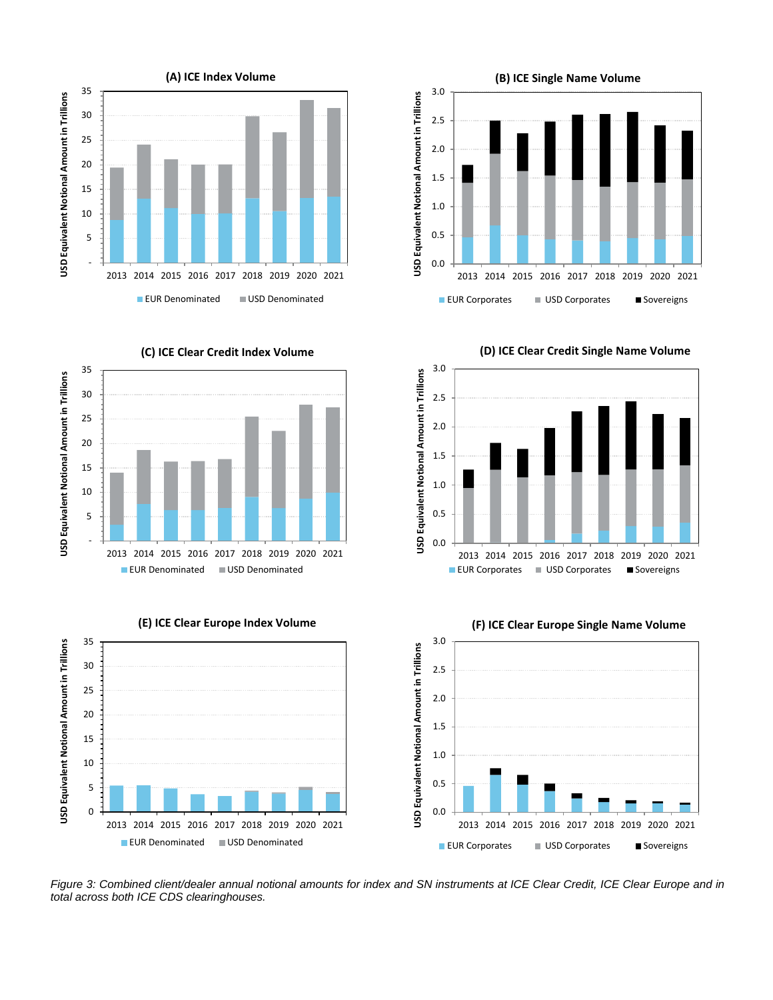



**(D) ICE Clear Credit Single Name Volume**



**(C) ICE Clear Credit Index Volume**



**(E) ICE Clear Europe Index Volume**







<span id="page-3-0"></span>*Figure 3: Combined client/dealer annual notional amounts for index and SN instruments at ICE Clear Credit, ICE Clear Europe and in total across both ICE CDS clearinghouses.*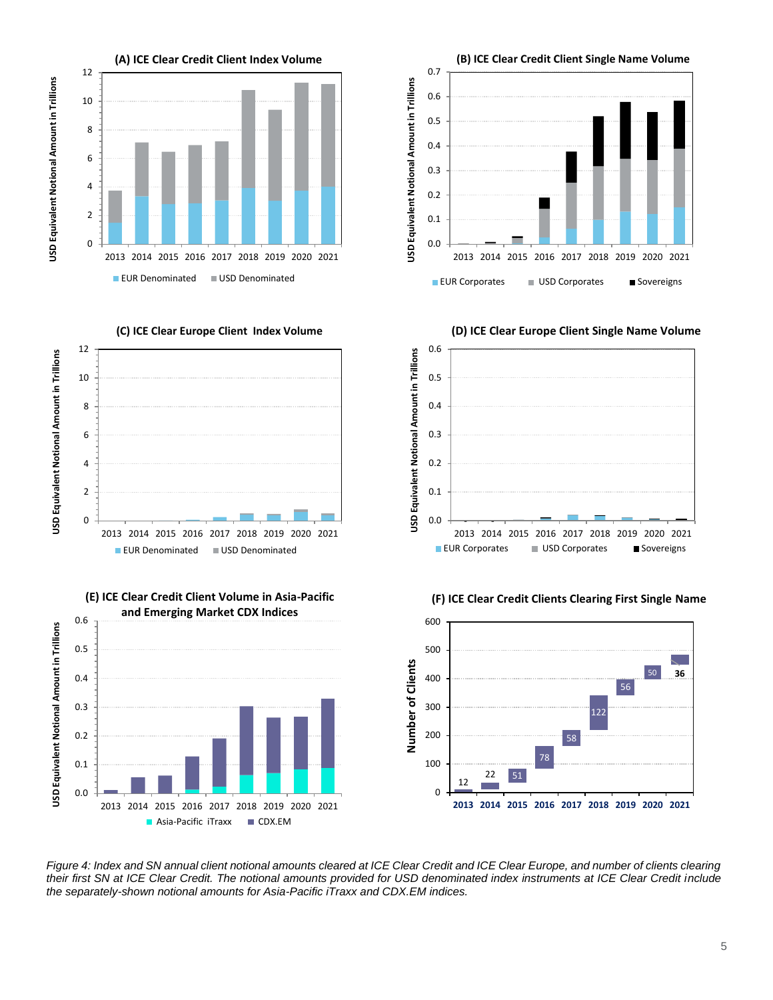

<span id="page-4-0"></span>*Figure 4: Index and SN annual client notional amounts cleared at ICE Clear Credit and ICE Clear Europe, and number of clients clearing their first SN at ICE Clear Credit. The notional amounts provided for USD denominated index instruments at ICE Clear Credit include the separately-shown notional amounts for Asia-Pacific iTraxx and CDX.EM indices.* 

Asia-Pacific iTraxx CDX.EM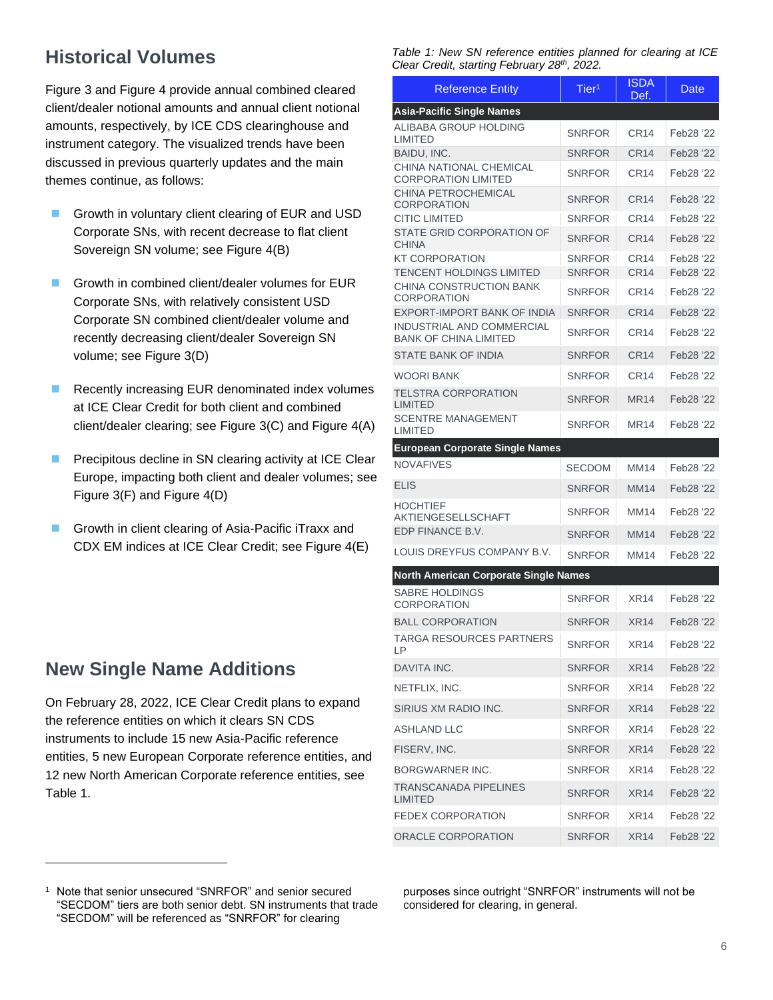# **Historical Volumes**

[Figure 3](#page-3-0) and [Figure 4](#page-4-0) provide annual combined cleared client/dealer notional amounts and annual client notional amounts, respectively, by ICE CDS clearinghouse and instrument category. The visualized trends have been discussed in previous quarterly updates and the main themes continue, as follows:

- Growth in voluntary client clearing of EUR and USD Corporate SNs, with recent decrease to flat client Sovereign SN volume; see [Figure 4\(](#page-4-0)B)
- Growth in combined client/dealer volumes for EUR Corporate SNs, with relatively consistent USD Corporate SN combined client/dealer volume and recently decreasing client/dealer Sovereign SN volume; see [Figure 3\(](#page-3-0)D)
- Recently increasing EUR denominated index volumes at ICE Clear Credit for both client and combined client/dealer clearing; see [Figure 3\(](#page-3-0)C) and [Figure 4\(](#page-4-0)A)
- Precipitous decline in SN clearing activity at ICE Clear Europe, impacting both client and dealer volumes; see [Figure 3\(](#page-3-0)F) and [Figure 4\(](#page-4-0)D)
- ◼ Growth in client clearing of Asia-Pacific iTraxx and CDX EM indices at ICE Clear Credit; see [Figure 4\(](#page-4-0)E)

## **New Single Name Additions**

On February 28, 2022, ICE Clear Credit plans to expand the reference entities on which it clears SN CDS instruments to include 15 new Asia-Pacific reference entities, 5 new European Corporate reference entities, and 12 new North American Corporate reference entities, see [Table 1.](#page-5-0)

<span id="page-5-0"></span>*Table 1: New SN reference entities planned for clearing at ICE Clear Credit, starting February 28th, 2022.* 

| $10011$ , $0101111$ , $100101$                            |                   |                     |           |
|-----------------------------------------------------------|-------------------|---------------------|-----------|
| <b>Reference Entity</b>                                   | Tier <sup>1</sup> | <b>ISDA</b><br>Def. | Date      |
| <b>Asia-Pacific Single Names</b>                          |                   |                     |           |
| ALIBABA GROUP HOLDING<br><b>LIMITED</b>                   | <b>SNRFOR</b>     | CR <sub>14</sub>    | Feb28 '22 |
| BAIDU, INC.                                               | <b>SNRFOR</b>     | <b>CR14</b>         | Feb28 '22 |
| CHINA NATIONAL CHEMICAL<br><b>CORPORATION LIMITED</b>     | <b>SNRFOR</b>     | <b>CR14</b>         | Feb28 '22 |
| CHINA PETROCHEMICAL<br><b>CORPORATION</b>                 | <b>SNRFOR</b>     | CR <sub>14</sub>    | Feb28 '22 |
| <b>CITIC LIMITED</b>                                      | <b>SNRFOR</b>     | <b>CR14</b>         | Feb28 '22 |
| STATE GRID CORPORATION OF<br><b>CHINA</b>                 | SNRFOR            | <b>CR14</b>         | Feb28 '22 |
| <b>KT CORPORATION</b>                                     | <b>SNRFOR</b>     | <b>CR14</b>         | Feb28 '22 |
| TENCENT HOLDINGS LIMITED                                  | <b>SNRFOR</b>     | <b>CR14</b>         | Feb28 '22 |
| CHINA CONSTRUCTION BANK<br><b>CORPORATION</b>             | <b>SNRFOR</b>     | <b>CR14</b>         | Feb28 '22 |
| EXPORT-IMPORT BANK OF INDIA                               | <b>SNRFOR</b>     | <b>CR14</b>         | Feb28 '22 |
| INDUSTRIAL AND COMMERCIAL<br><b>BANK OF CHINA LIMITED</b> | <b>SNRFOR</b>     | CR14                | Feb28 '22 |
| <b>STATE BANK OF INDIA</b>                                | <b>SNRFOR</b>     | <b>CR14</b>         | Feb28 '22 |
| <b>WOORI BANK</b>                                         | <b>SNRFOR</b>     | CR14                | Feb28 '22 |
| <b>TELSTRA CORPORATION</b><br><b>LIMITED</b>              | <b>SNRFOR</b>     | <b>MR14</b>         | Feb28 '22 |
| <b>SCENTRE MANAGEMENT</b><br><b>LIMITED</b>               | <b>SNRFOR</b>     | <b>MR14</b>         | Feb28 '22 |
| <b>European Corporate Single Names</b>                    |                   |                     |           |
| <b>NOVAFIVES</b>                                          | <b>SECDOM</b>     | <b>MM14</b>         | Feb28 '22 |
| <b>ELIS</b>                                               | SNRFOR            | <b>MM14</b>         | Feb28 '22 |
| <b>HOCHTIEF</b><br>AKTIENGESELLSCHAFT                     | <b>SNRFOR</b>     | <b>MM14</b>         | Feb28 '22 |
| EDP FINANCE B.V.                                          | <b>SNRFOR</b>     | <b>MM14</b>         | Feb28 '22 |
| LOUIS DREYFUS COMPANY B.V.                                | SNRFOR            | <b>MM14</b>         | Feb28 '22 |
| North American Corporate Single Names                     |                   |                     |           |
| <b>SABRE HOLDINGS</b><br><b>CORPORATION</b>               | <b>SNRFOR</b>     | <b>XR14</b>         | Feb28 '22 |
| <b>BALL CORPORATION</b>                                   | SNRFOR            | <b>XR14</b>         | Feb28 '22 |
| TARGA RESOURCES PARTNERS<br>LΡ                            | SNRFOR            | XR14                | Feb28 '22 |
| DAVITA INC.                                               | <b>SNRFOR</b>     | <b>XR14</b>         | Feb28 '22 |
| NETFLIX, INC.                                             | SNRFOR            | XR14                | Feb28 '22 |
| SIRIUS XM RADIO INC.                                      | <b>SNRFOR</b>     | XR14                | Feb28 '22 |
| ASHLAND LLC                                               | SNRFOR            | XR14                | Feb28 '22 |
| FISERV, INC.                                              | SNRFOR            | <b>XR14</b>         | Feb28 '22 |
| <b>BORGWARNER INC.</b>                                    | SNRFOR            | <b>XR14</b>         | Feb28 '22 |
| TRANSCANADA PIPELINES<br><b>LIMITED</b>                   | SNRFOR            | XR14                | Feb28 '22 |
| <b>FEDEX CORPORATION</b>                                  | SNRFOR            | XR14                | Feb28 '22 |
| ORACLE CORPORATION                                        | <b>SNRFOR</b>     | <b>XR14</b>         | Feb28 '22 |

<sup>1</sup> Note that senior unsecured "SNRFOR" and senior secured "SECDOM" tiers are both senior debt. SN instruments that trade "SECDOM" will be referenced as "SNRFOR" for clearing

purposes since outright "SNRFOR" instruments will not be considered for clearing, in general.